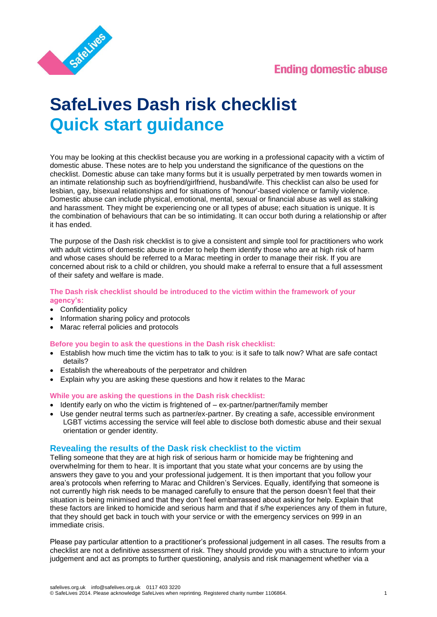



# **SafeLives Dash risk checklist Quick start guidance**

You may be looking at this checklist because you are working in a professional capacity with a victim of domestic abuse. These notes are to help you understand the significance of the questions on the checklist. Domestic abuse can take many forms but it is usually perpetrated by men towards women in an intimate relationship such as boyfriend/girlfriend, husband/wife. This checklist can also be used for lesbian, gay, bisexual relationships and for situations of 'honour'-based violence or family violence. Domestic abuse can include physical, emotional, mental, sexual or financial abuse as well as stalking and harassment. They might be experiencing one or all types of abuse; each situation is unique. It is the combination of behaviours that can be so intimidating. It can occur both during a relationship or after it has ended.

The purpose of the Dash risk checklist is to give a consistent and simple tool for practitioners who work with adult victims of domestic abuse in order to help them identify those who are at high risk of harm and whose cases should be referred to a Marac meeting in order to manage their risk. If you are concerned about risk to a child or children, you should make a referral to ensure that a full assessment of their safety and welfare is made.

#### **The Dash risk checklist should be introduced to the victim within the framework of your agency's:**

- Confidentiality policy
- Information sharing policy and protocols
- Marac referral policies and protocols

#### **Before you begin to ask the questions in the Dash risk checklist:**

- Establish how much time the victim has to talk to you: is it safe to talk now? What are safe contact details?
- Establish the whereabouts of the perpetrator and children
- Explain why you are asking these questions and how it relates to the Marac

#### **While you are asking the questions in the Dash risk checklist:**

- $\bullet$  Identify early on who the victim is frightened of  $-$  ex-partner/partner/family member
- Use gender neutral terms such as partner/ex-partner. By creating a safe, accessible environment LGBT victims accessing the service will feel able to disclose both domestic abuse and their sexual orientation or gender identity.

#### **Revealing the results of the Dask risk checklist to the victim**

Telling someone that they are at high risk of serious harm or homicide may be frightening and overwhelming for them to hear. It is important that you state what your concerns are by using the answers they gave to you and your professional judgement. It is then important that you follow your area's protocols when referring to Marac and Children's Services. Equally, identifying that someone is not currently high risk needs to be managed carefully to ensure that the person doesn't feel that their situation is being minimised and that they don't feel embarrassed about asking for help. Explain that these factors are linked to homicide and serious harm and that if s/he experiences any of them in future, that they should get back in touch with your service or with the emergency services on 999 in an immediate crisis.

Please pay particular attention to a practitioner's professional judgement in all cases. The results from a checklist are not a definitive assessment of risk. They should provide you with a structure to inform your judgement and act as prompts to further questioning, analysis and risk management whether via a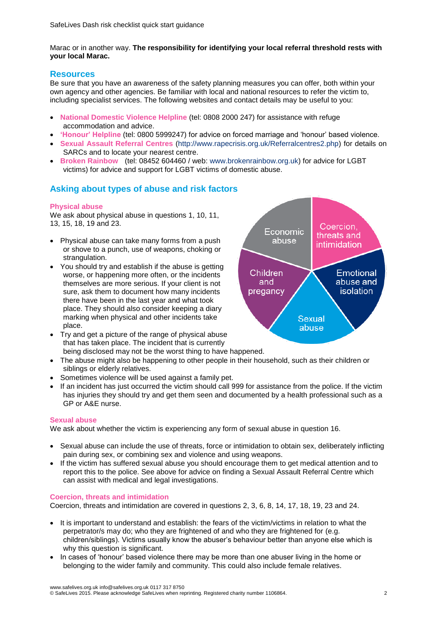#### Marac or in another way. **The responsibility for identifying your local referral threshold rests with your local Marac.**

#### **Resources**

Be sure that you have an awareness of the safety planning measures you can offer, both within your own agency and other agencies. Be familiar with local and national resources to refer the victim to, including specialist services. The following websites and contact details may be useful to you:

- **National Domestic Violence Helpline** (tel: 0808 2000 247) for assistance with refuge accommodation and advice.
- **'Honour' Helpline** (tel: 0800 5999247) for advice on forced marriage and 'honour' based violence.
- **Sexual Assault Referral Centres** [\(http://www.rapecrisis.org.uk/Referralcentres2.php\)](http://www.rapecrisis.org.uk/Referralcentres2.php) for details on SARCs and to locate your nearest centre.
- **Broken Rainbow** (tel: 08452 604460 / web: [www.brokenrainbow.org.uk\)](https://caada.sharepoint.com/Projects/Rebrand/Team%20folders%20for%20rebranded%20materials/Programmes/Programmes%20-%20CAADA-DASH%20RIC/Stage%202%20-%20rebranded/2.%20Ready%20to%20use/www.brokenrainbow.org.uk) for advice for LGBT victims) for advice and support for LGBT victims of domestic abuse.

## **Asking about types of abuse and risk factors**

#### **Physical abuse**

We ask about physical abuse in questions 1, 10, 11, 13, 15, 18, 19 and 23.

- Physical abuse can take many forms from a push or shove to a punch, use of weapons, choking or strangulation.
- You should try and establish if the abuse is getting worse, or happening more often, or the incidents themselves are more serious. If your client is not sure, ask them to document how many incidents there have been in the last year and what took place. They should also consider keeping a diary marking when physical and other incidents take place.
- Try and get a picture of the range of physical abuse that has taken place. The incident that is currently being disclosed may not be the worst thing to have happened.
- The abuse might also be happening to other people in their household, such as their children or siblings or elderly relatives.
- Sometimes violence will be used against a family pet.
- If an incident has just occurred the victim should call 999 for assistance from the police. If the victim has injuries they should try and get them seen and documented by a health professional such as a GP or A&E nurse.

#### **Sexual abuse**

We ask about whether the victim is experiencing any form of sexual abuse in question 16.

- Sexual abuse can include the use of threats, force or intimidation to obtain sex, deliberately inflicting pain during sex, or combining sex and violence and using weapons.
- If the victim has suffered sexual abuse you should encourage them to get medical attention and to report this to the police. See above for advice on finding a Sexual Assault Referral Centre which can assist with medical and legal investigations.

#### **Coercion, threats and intimidation**

Coercion, threats and intimidation are covered in questions 2, 3, 6, 8, 14, 17, 18, 19, 23 and 24.

- It is important to understand and establish: the fears of the victim/victims in relation to what the perpetrator/s may do; who they are frightened of and who they are frightened for (e.g. children/siblings). Victims usually know the abuser's behaviour better than anyone else which is why this question is significant.
- In cases of 'honour' based violence there may be more than one abuser living in the home or belonging to the wider family and community. This could also include female relatives.

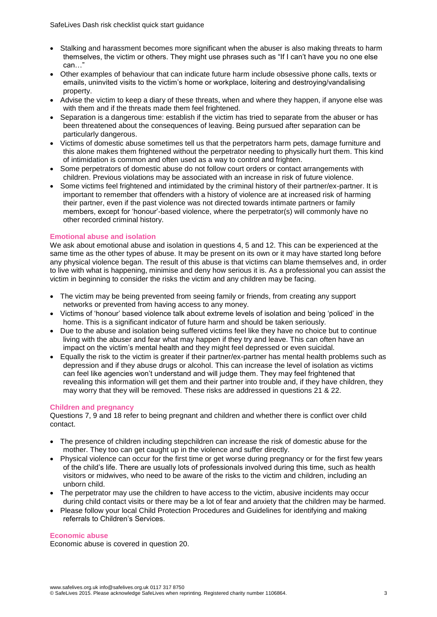- Stalking and harassment becomes more significant when the abuser is also making threats to harm themselves, the victim or others. They might use phrases such as "If I can't have you no one else can…"
- Other examples of behaviour that can indicate future harm include obsessive phone calls, texts or emails, uninvited visits to the victim's home or workplace, loitering and destroying/vandalising property.
- Advise the victim to keep a diary of these threats, when and where they happen, if anyone else was with them and if the threats made them feel frightened.
- Separation is a dangerous time: establish if the victim has tried to separate from the abuser or has been threatened about the consequences of leaving. Being pursued after separation can be particularly dangerous.
- Victims of domestic abuse sometimes tell us that the perpetrators harm pets, damage furniture and this alone makes them frightened without the perpetrator needing to physically hurt them. This kind of intimidation is common and often used as a way to control and frighten.
- Some perpetrators of domestic abuse do not follow court orders or contact arrangements with children. Previous violations may be associated with an increase in risk of future violence.
- Some victims feel frightened and intimidated by the criminal history of their partner/ex-partner. It is important to remember that offenders with a history of violence are at increased risk of harming their partner, even if the past violence was not directed towards intimate partners or family members, except for 'honour'-based violence, where the perpetrator(s) will commonly have no other recorded criminal history.

#### **Emotional abuse and isolation**

We ask about emotional abuse and isolation in questions 4, 5 and 12. This can be experienced at the same time as the other types of abuse. It may be present on its own or it may have started long before any physical violence began. The result of this abuse is that victims can blame themselves and, in order to live with what is happening, minimise and deny how serious it is. As a professional you can assist the victim in beginning to consider the risks the victim and any children may be facing.

- The victim may be being prevented from seeing family or friends, from creating any support networks or prevented from having access to any money.
- Victims of 'honour' based violence talk about extreme levels of isolation and being 'policed' in the home. This is a significant indicator of future harm and should be taken seriously.
- Due to the abuse and isolation being suffered victims feel like they have no choice but to continue living with the abuser and fear what may happen if they try and leave. This can often have an impact on the victim's mental health and they might feel depressed or even suicidal.
- Equally the risk to the victim is greater if their partner/ex-partner has mental health problems such as depression and if they abuse drugs or alcohol. This can increase the level of isolation as victims can feel like agencies won't understand and will judge them. They may feel frightened that revealing this information will get them and their partner into trouble and, if they have children, they may worry that they will be removed. These risks are addressed in questions 21 & 22.

#### **Children and pregnancy**

Questions 7, 9 and 18 refer to being pregnant and children and whether there is conflict over child contact.

- The presence of children including stepchildren can increase the risk of domestic abuse for the mother. They too can get caught up in the violence and suffer directly.
- Physical violence can occur for the first time or get worse during pregnancy or for the first few years of the child's life. There are usually lots of professionals involved during this time, such as health visitors or midwives, who need to be aware of the risks to the victim and children, including an unborn child.
- The perpetrator may use the children to have access to the victim, abusive incidents may occur during child contact visits or there may be a lot of fear and anxiety that the children may be harmed.
- Please follow your local Child Protection Procedures and Guidelines for identifying and making referrals to Children's Services.

#### **Economic abuse**

Economic abuse is covered in question 20.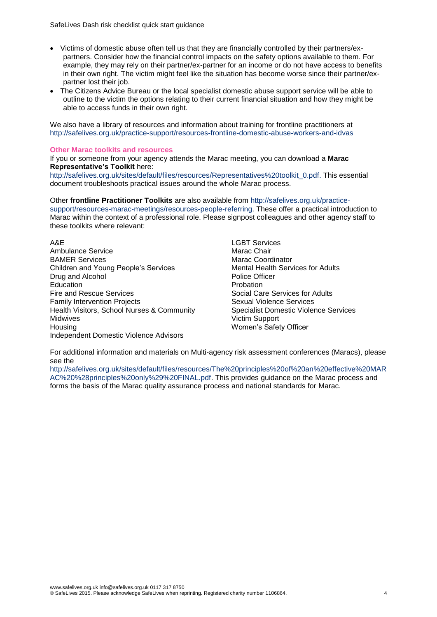- Victims of domestic abuse often tell us that they are financially controlled by their partners/expartners. Consider how the financial control impacts on the safety options available to them. For example, they may rely on their partner/ex-partner for an income or do not have access to benefits in their own right. The victim might feel like the situation has become worse since their partner/expartner lost their job.
- The Citizens Advice Bureau or the local specialist domestic abuse support service will be able to outline to the victim the options relating to their current financial situation and how they might be able to access funds in their own right.

We also have a library of resources and information about training for frontline practitioners at <http://safelives.org.uk/practice-support/resources-frontline-domestic-abuse-workers-and-idvas>

#### **Other Marac toolkits and resources**

If you or someone from your agency attends the Marac meeting, you can download a **Marac Representative's Toolkit** here:

[http://safelives.org.uk/sites/default/files/resources/Representatives%20toolkit\\_0.pdf.](http://safelives.org.uk/sites/default/files/resources/Representatives%20toolkit_0.pdf) This essential document troubleshoots practical issues around the whole Marac process.

#### Other **frontline Practitioner Toolkits** are also available from [http://safelives.org.uk/practice-](http://safelives.org.uk/practice-support/resources-marac-meetings/resources-people-referring)

[support/resources-marac-meetings/resources-people-referring.](http://safelives.org.uk/practice-support/resources-marac-meetings/resources-people-referring) These offer a practical introduction to Marac within the context of a professional role. Please signpost colleagues and other agency staff to these toolkits where relevant:

A&E Ambulance Service BAMER Services Children and Young People's Services Drug and Alcohol Education Fire and Rescue Services Family Intervention Projects Health Visitors, School Nurses & Community **Midwives** Housing Independent Domestic Violence Advisors

LGBT Services Marac Chair Marac Coordinator Mental Health Services for Adults Police Officer Probation Social Care Services for Adults Sexual Violence Services Specialist Domestic Violence Services Victim Support Women's Safety Officer

For additional information and materials on Multi-agency risk assessment conferences (Maracs), please see the

[http://safelives.org.uk/sites/default/files/resources/The%20principles%20of%20an%20effective%20MAR](http://safelives.org.uk/sites/default/files/resources/The%20principles%20of%20an%20effective%20MARAC%20%28principles%20only%29%20FINAL.pdf) [AC%20%28principles%20only%29%20FINAL.pdf.](http://safelives.org.uk/sites/default/files/resources/The%20principles%20of%20an%20effective%20MARAC%20%28principles%20only%29%20FINAL.pdf) This provides guidance on the Marac process and forms the basis of the Marac quality assurance process and national standards for Marac.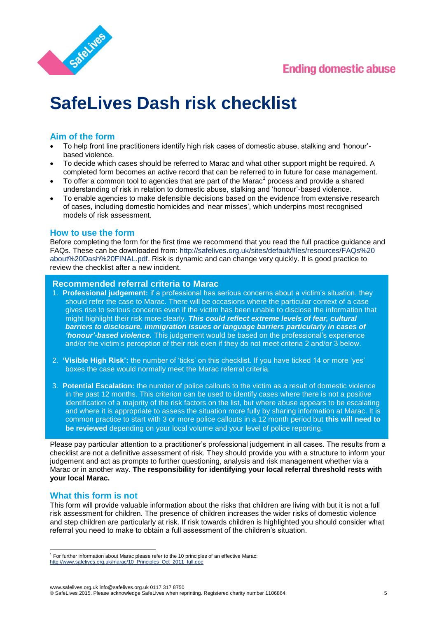



# **SafeLives Dash risk checklist**

## **Aim of the form**

- To help front line practitioners identify high risk cases of domestic abuse, stalking and 'honour' based violence.
- To decide which cases should be referred to Marac and what other support might be required. A completed form becomes an active record that can be referred to in future for case management.
- $\bullet$  To offer a common tool to agencies that are part of the Marac<sup>1</sup> process and provide a shared understanding of risk in relation to domestic abuse, stalking and 'honour'-based violence.
- To enable agencies to make defensible decisions based on the evidence from extensive research of cases, including domestic homicides and 'near misses', which underpins most recognised models of risk assessment.

### **How to use the form**

Before completing the form for the first time we recommend that you read the full practice guidance and FAQs. These can be downloaded from: [http://safelives.org.uk/sites/default/files/resources/FAQs%20](http://safelives.org.uk/sites/default/files/resources/FAQs%20%0babout%20Dash%20FINAL.pdf) [about%20Dash%20FINAL.pdf.](http://safelives.org.uk/sites/default/files/resources/FAQs%20%0babout%20Dash%20FINAL.pdf) Risk is dynamic and can change very quickly. It is good practice to review the checklist after a new incident.

### **Recommended referral criteria to Marac**

- 1. **Professional judgement:** if a professional has serious concerns about a victim's situation, they should refer the case to Marac. There will be occasions where the particular context of a case gives rise to serious concerns even if the victim has been unable to disclose the information that might highlight their risk more clearly. *This could reflect extreme levels of fear, cultural barriers to disclosure, immigration issues or language barriers particularly in cases of 'honour'-based violence.* This judgement would be based on the professional's experience and/or the victim's perception of their risk even if they do not meet criteria 2 and/or 3 below.
- 2. **'Visible High Risk':** the number of 'ticks' on this checklist. If you have ticked 14 or more 'yes' boxes the case would normally meet the Marac referral criteria.
- 3. **Potential Escalation:** the number of police callouts to the victim as a result of domestic violence in the past 12 months. This criterion can be used to identify cases where there is not a positive identification of a majority of the risk factors on the list, but where abuse appears to be escalating and where it is appropriate to assess the situation more fully by sharing information at Marac. It is common practice to start with 3 or more police callouts in a 12 month period but **this will need to be reviewed** depending on your local volume and your level of police reporting.

Please pay particular attention to a practitioner's professional judgement in all cases. The results from a checklist are not a definitive assessment of risk. They should provide you with a structure to inform your judgement and act as prompts to further questioning, analysis and risk management whether via a Marac or in another way. **The responsibility for identifying your local referral threshold rests with your local Marac.** 

### **What this form is not**

This form will provide valuable information about the risks that children are living with but it is not a full risk assessment for children. The presence of children increases the wider risks of domestic violence and step children are particularly at risk. If risk towards children is highlighted you should consider what referral you need to make to obtain a full assessment of the children's situation.

<sup>1&</sup>lt;br><sup>1</sup> For further information about Marac please refer to the 10 principles of an effective Marac:

<sup>©</sup> SafeLives 2015. Please acknowledge SafeLives when reprinting. Registered charity number 1106864. 5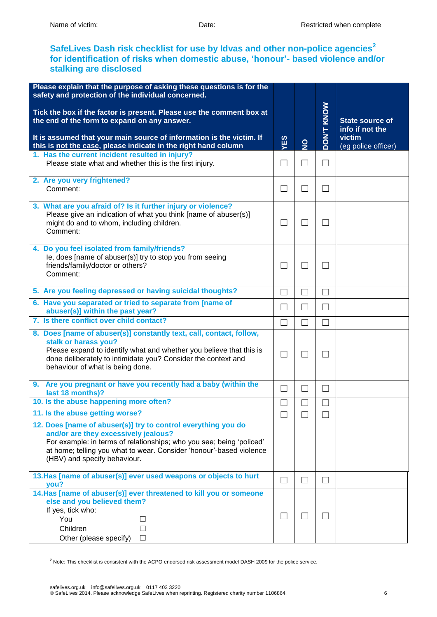## **SafeLives Dash risk checklist for use by Idvas and other non-police agencies<sup>2</sup> for identification of risks when domestic abuse, 'honour'- based violence and/or stalking are disclosed**

| Please explain that the purpose of asking these questions is for the<br>safety and protection of the individual concerned.                                                                                                                                                           |                          |                          |                   |                                                                            |
|--------------------------------------------------------------------------------------------------------------------------------------------------------------------------------------------------------------------------------------------------------------------------------------|--------------------------|--------------------------|-------------------|----------------------------------------------------------------------------|
| Tick the box if the factor is present. Please use the comment box at<br>the end of the form to expand on any answer.<br>It is assumed that your main source of information is the victim. If<br>this is not the case, please indicate in the right hand column                       | YES                      | $\overline{2}$           | DON'T KNOW        | <b>State source of</b><br>info if not the<br>victim<br>(eg police officer) |
| 1. Has the current incident resulted in injury?                                                                                                                                                                                                                                      |                          |                          |                   |                                                                            |
| Please state what and whether this is the first injury.                                                                                                                                                                                                                              |                          | $\blacksquare$           | $\vert \ \ \vert$ |                                                                            |
| 2. Are you very frightened?<br>Comment:                                                                                                                                                                                                                                              | $\overline{\phantom{0}}$ | $\mathcal{L}$            | $\vert \ \ \vert$ |                                                                            |
| 3. What are you afraid of? Is it further injury or violence?<br>Please give an indication of what you think [name of abuser(s)]<br>might do and to whom, including children.<br>Comment:                                                                                             | $\overline{\phantom{a}}$ | $\overline{\phantom{a}}$ | $\mathcal{L}$     |                                                                            |
| 4. Do you feel isolated from family/friends?<br>le, does [name of abuser(s)] try to stop you from seeing<br>friends/family/doctor or others?<br>Comment:                                                                                                                             | $\mathcal{L}$            | $\mathcal{A}$            | ×.                |                                                                            |
| 5. Are you feeling depressed or having suicidal thoughts?                                                                                                                                                                                                                            |                          | $\blacksquare$           | $\vert \ \ \vert$ |                                                                            |
| 6. Have you separated or tried to separate from [name of<br>abuser(s)] within the past year?                                                                                                                                                                                         |                          | ┓                        | $\vert \ \ \vert$ |                                                                            |
| 7. Is there conflict over child contact?                                                                                                                                                                                                                                             |                          | $\blacksquare$           | $\Box$            |                                                                            |
| 8. Does [name of abuser(s)] constantly text, call, contact, follow,<br>stalk or harass you?<br>Please expand to identify what and whether you believe that this is<br>done deliberately to intimidate you? Consider the context and<br>behaviour of what is being done.              |                          | $\mathcal{A}$            | ×.                |                                                                            |
| 9. Are you pregnant or have you recently had a baby (within the                                                                                                                                                                                                                      | $\overline{\phantom{a}}$ | $\blacksquare$           | $\Box$            |                                                                            |
| last 18 months)?<br>10. Is the abuse happening more often?                                                                                                                                                                                                                           |                          |                          |                   |                                                                            |
| 11. Is the abuse getting worse?                                                                                                                                                                                                                                                      |                          |                          |                   |                                                                            |
| 12. Does [name of abuser(s)] try to control everything you do<br>and/or are they excessively jealous?<br>For example: in terms of relationships; who you see; being 'policed'<br>at home; telling you what to wear. Consider 'honour'-based violence<br>(HBV) and specify behaviour. |                          |                          |                   |                                                                            |
| 13. Has [name of abuser(s)] ever used weapons or objects to hurt<br>you?                                                                                                                                                                                                             | $\blacksquare$           | $\Box$                   | $\Box$            |                                                                            |
| 14. Has [name of abuser(s)] ever threatened to kill you or someone<br>else and you believed them?<br>If yes, tick who:<br>You<br>$\Box$<br>Children<br>П<br>Other (please specify)<br>$\Box$                                                                                         |                          |                          |                   |                                                                            |

l  $^2$  Note: This checklist is consistent with the ACPO endorsed risk assessment model DASH 2009 for the police service.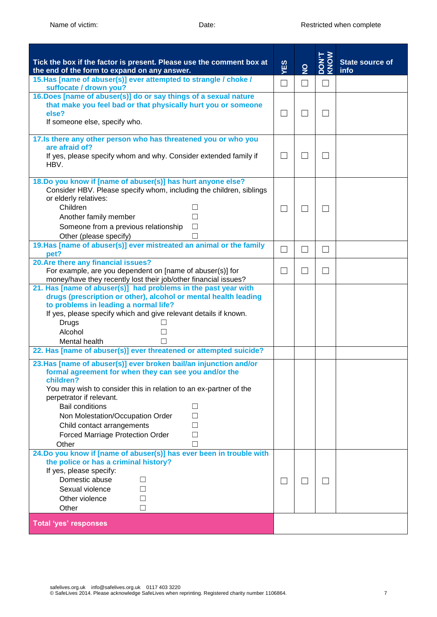| Tick the box if the factor is present. Please use the comment box at<br>the end of the form to expand on any answer.                                                                                                                                                                                                                                     | YES    | $\overline{2}$ | <b>NOMYL</b><br>KNOW     | <b>State source of</b><br>info |
|----------------------------------------------------------------------------------------------------------------------------------------------------------------------------------------------------------------------------------------------------------------------------------------------------------------------------------------------------------|--------|----------------|--------------------------|--------------------------------|
| 15. Has [name of abuser(s)] ever attempted to strangle / choke /<br>suffocate / drown you?                                                                                                                                                                                                                                                               | $\Box$ | П              |                          |                                |
| 16. Does [name of abuser(s)] do or say things of a sexual nature<br>that make you feel bad or that physically hurt you or someone<br>else?<br>If someone else, specify who.                                                                                                                                                                              | $\Box$ | $\Box$         | $\overline{\phantom{a}}$ |                                |
| 17. Is there any other person who has threatened you or who you<br>are afraid of?<br>If yes, please specify whom and why. Consider extended family if<br>HBV.                                                                                                                                                                                            | $\Box$ | $\mathbf{L}$   |                          |                                |
| 18. Do you know if [name of abuser(s)] has hurt anyone else?<br>Consider HBV. Please specify whom, including the children, siblings<br>or elderly relatives:<br>Children<br>Another family member<br>□<br>Someone from a previous relationship<br>$\Box$<br>Other (please specify)                                                                       | $\Box$ | $\Box$         | $\overline{\phantom{a}}$ |                                |
| 19. Has [name of abuser(s)] ever mistreated an animal or the family<br>pet?                                                                                                                                                                                                                                                                              | $\Box$ | $\Box$         | $\vert \ \ \vert$        |                                |
| 20. Are there any financial issues?<br>For example, are you dependent on [name of abuser(s)] for<br>money/have they recently lost their job/other financial issues?                                                                                                                                                                                      | $\Box$ | ⊔              | $\vert \ \ \vert$        |                                |
| 21. Has [name of abuser(s)] had problems in the past year with<br>drugs (prescription or other), alcohol or mental health leading<br>to problems in leading a normal life?<br>If yes, please specify which and give relevant details if known.<br>Drugs<br>Alcohol<br>Mental health<br>22. Has [name of abuser(s)] ever threatened or attempted suicide? |        |                |                          |                                |
| 23. Has [name of abuser(s)] ever broken bail/an injunction and/or<br>formal agreement for when they can see you and/or the<br>children?<br>You may wish to consider this in relation to an ex-partner of the<br>perpetrator if relevant.                                                                                                                 |        |                |                          |                                |
| <b>Bail conditions</b><br>$\Box$<br>Non Molestation/Occupation Order<br>Child contact arrangements<br><b>Forced Marriage Protection Order</b><br>$\Box$<br>Other                                                                                                                                                                                         |        |                |                          |                                |
| 24. Do you know if [name of abuser(s)] has ever been in trouble with<br>the police or has a criminal history?<br>If yes, please specify:<br>Domestic abuse<br>Sexual violence<br>Other violence<br>Other<br>П                                                                                                                                            | $\Box$ | I.             |                          |                                |
| <b>Total 'yes' responses</b>                                                                                                                                                                                                                                                                                                                             |        |                |                          |                                |